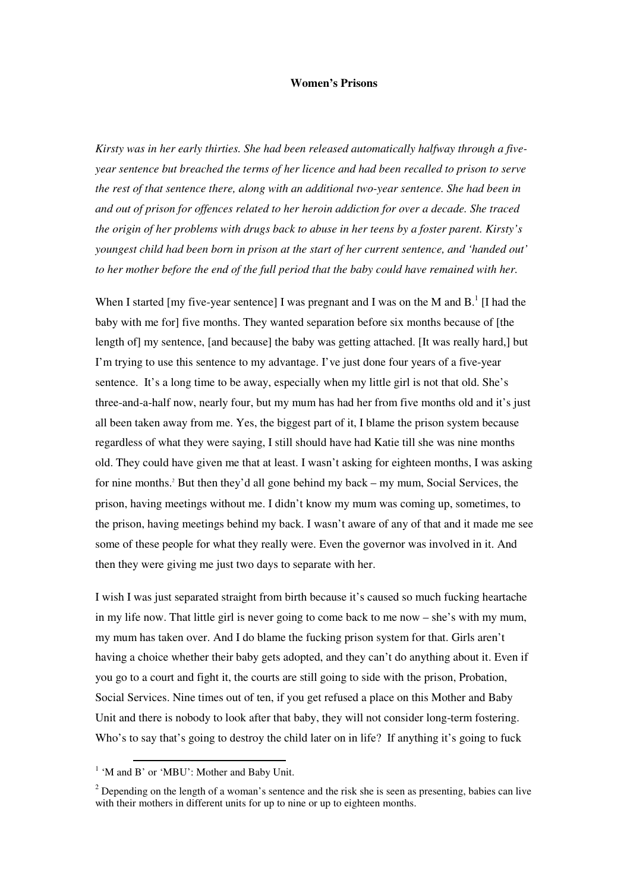## **Women's Prisons**

*Kirsty was in her early thirties. She had been released automatically halfway through a fiveyear sentence but breached the terms of her licence and had been recalled to prison to serve the rest of that sentence there, along with an additional two-year sentence. She had been in and out of prison for offences related to her heroin addiction for over a decade. She traced the origin of her problems with drugs back to abuse in her teens by a foster parent. Kirsty's youngest child had been born in prison at the start of her current sentence, and 'handed out' to her mother before the end of the full period that the baby could have remained with her.* 

When I started [my five-year sentence] I was pregnant and I was on the M and  $B<sup>1</sup>$  [I had the baby with me for] five months. They wanted separation before six months because of [the length of] my sentence, [and because] the baby was getting attached. [It was really hard,] but I'm trying to use this sentence to my advantage. I've just done four years of a five-year sentence. It's a long time to be away, especially when my little girl is not that old. She's three-and-a-half now, nearly four, but my mum has had her from five months old and it's just all been taken away from me. Yes, the biggest part of it, I blame the prison system because regardless of what they were saying, I still should have had Katie till she was nine months old. They could have given me that at least. I wasn't asking for eighteen months, I was asking for nine months.<sup>2</sup> But then they'd all gone behind my back – my mum, Social Services, the prison, having meetings without me. I didn't know my mum was coming up, sometimes, to the prison, having meetings behind my back. I wasn't aware of any of that and it made me see some of these people for what they really were. Even the governor was involved in it. And then they were giving me just two days to separate with her.

I wish I was just separated straight from birth because it's caused so much fucking heartache in my life now. That little girl is never going to come back to me now – she's with my mum, my mum has taken over. And I do blame the fucking prison system for that. Girls aren't having a choice whether their baby gets adopted, and they can't do anything about it. Even if you go to a court and fight it, the courts are still going to side with the prison, Probation, Social Services. Nine times out of ten, if you get refused a place on this Mother and Baby Unit and there is nobody to look after that baby, they will not consider long-term fostering. Who's to say that's going to destroy the child later on in life? If anything it's going to fuck

<sup>&</sup>lt;sup>1</sup> 'M and B' or 'MBU': Mother and Baby Unit.

 $2^{2}$  Depending on the length of a woman's sentence and the risk she is seen as presenting, babies can live with their mothers in different units for up to nine or up to eighteen months.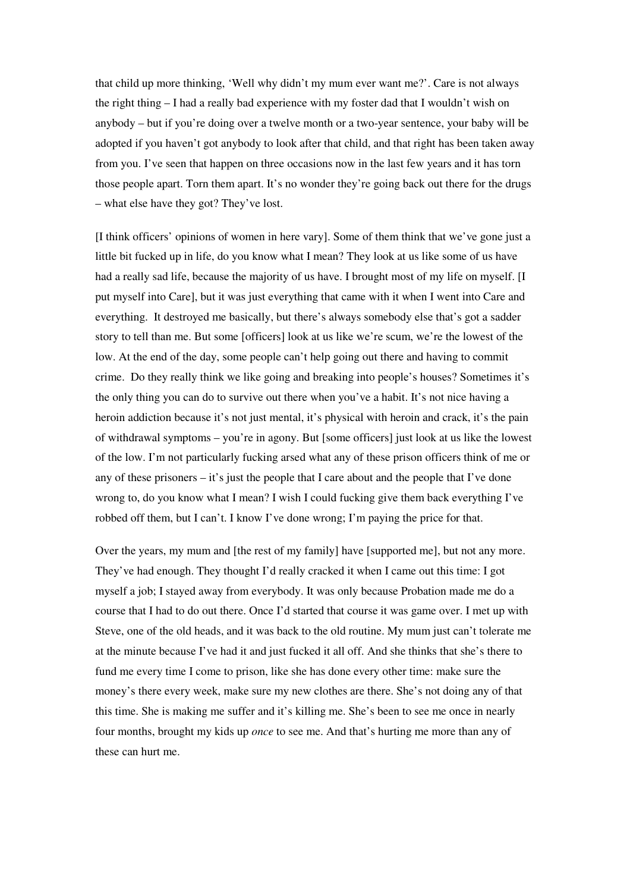that child up more thinking, 'Well why didn't my mum ever want me?'. Care is not always the right thing – I had a really bad experience with my foster dad that I wouldn't wish on anybody – but if you're doing over a twelve month or a two-year sentence, your baby will be adopted if you haven't got anybody to look after that child, and that right has been taken away from you. I've seen that happen on three occasions now in the last few years and it has torn those people apart. Torn them apart. It's no wonder they're going back out there for the drugs – what else have they got? They've lost.

[I think officers' opinions of women in here vary]. Some of them think that we've gone just a little bit fucked up in life, do you know what I mean? They look at us like some of us have had a really sad life, because the majority of us have. I brought most of my life on myself. [I put myself into Care], but it was just everything that came with it when I went into Care and everything. It destroyed me basically, but there's always somebody else that's got a sadder story to tell than me. But some [officers] look at us like we're scum, we're the lowest of the low. At the end of the day, some people can't help going out there and having to commit crime. Do they really think we like going and breaking into people's houses? Sometimes it's the only thing you can do to survive out there when you've a habit. It's not nice having a heroin addiction because it's not just mental, it's physical with heroin and crack, it's the pain of withdrawal symptoms – you're in agony. But [some officers] just look at us like the lowest of the low. I'm not particularly fucking arsed what any of these prison officers think of me or any of these prisoners – it's just the people that I care about and the people that I've done wrong to, do you know what I mean? I wish I could fucking give them back everything I've robbed off them, but I can't. I know I've done wrong; I'm paying the price for that.

Over the years, my mum and [the rest of my family] have [supported me], but not any more. They've had enough. They thought I'd really cracked it when I came out this time: I got myself a job; I stayed away from everybody. It was only because Probation made me do a course that I had to do out there. Once I'd started that course it was game over. I met up with Steve, one of the old heads, and it was back to the old routine. My mum just can't tolerate me at the minute because I've had it and just fucked it all off. And she thinks that she's there to fund me every time I come to prison, like she has done every other time: make sure the money's there every week, make sure my new clothes are there. She's not doing any of that this time. She is making me suffer and it's killing me. She's been to see me once in nearly four months, brought my kids up *once* to see me. And that's hurting me more than any of these can hurt me.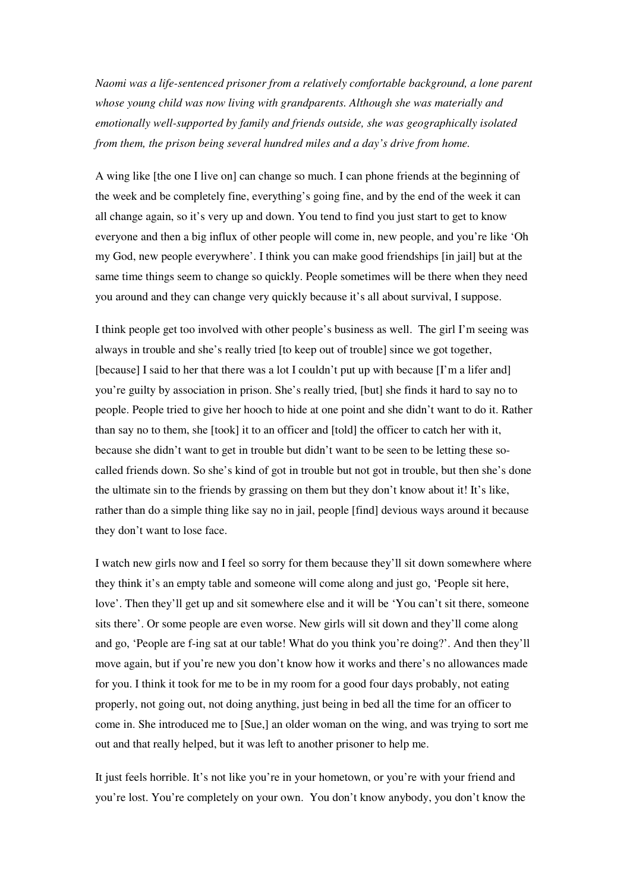*Naomi was a life-sentenced prisoner from a relatively comfortable background, a lone parent whose young child was now living with grandparents. Although she was materially and emotionally well-supported by family and friends outside, she was geographically isolated from them, the prison being several hundred miles and a day's drive from home.* 

A wing like [the one I live on] can change so much. I can phone friends at the beginning of the week and be completely fine, everything's going fine, and by the end of the week it can all change again, so it's very up and down. You tend to find you just start to get to know everyone and then a big influx of other people will come in, new people, and you're like 'Oh my God, new people everywhere'. I think you can make good friendships [in jail] but at the same time things seem to change so quickly. People sometimes will be there when they need you around and they can change very quickly because it's all about survival, I suppose.

I think people get too involved with other people's business as well. The girl I'm seeing was always in trouble and she's really tried [to keep out of trouble] since we got together, [because] I said to her that there was a lot I couldn't put up with because [I'm a lifer and] you're guilty by association in prison. She's really tried, [but] she finds it hard to say no to people. People tried to give her hooch to hide at one point and she didn't want to do it. Rather than say no to them, she [took] it to an officer and [told] the officer to catch her with it, because she didn't want to get in trouble but didn't want to be seen to be letting these socalled friends down. So she's kind of got in trouble but not got in trouble, but then she's done the ultimate sin to the friends by grassing on them but they don't know about it! It's like, rather than do a simple thing like say no in jail, people [find] devious ways around it because they don't want to lose face.

I watch new girls now and I feel so sorry for them because they'll sit down somewhere where they think it's an empty table and someone will come along and just go, 'People sit here, love'. Then they'll get up and sit somewhere else and it will be 'You can't sit there, someone sits there'. Or some people are even worse. New girls will sit down and they'll come along and go, 'People are f-ing sat at our table! What do you think you're doing?'. And then they'll move again, but if you're new you don't know how it works and there's no allowances made for you. I think it took for me to be in my room for a good four days probably, not eating properly, not going out, not doing anything, just being in bed all the time for an officer to come in. She introduced me to [Sue,] an older woman on the wing, and was trying to sort me out and that really helped, but it was left to another prisoner to help me.

It just feels horrible. It's not like you're in your hometown, or you're with your friend and you're lost. You're completely on your own. You don't know anybody, you don't know the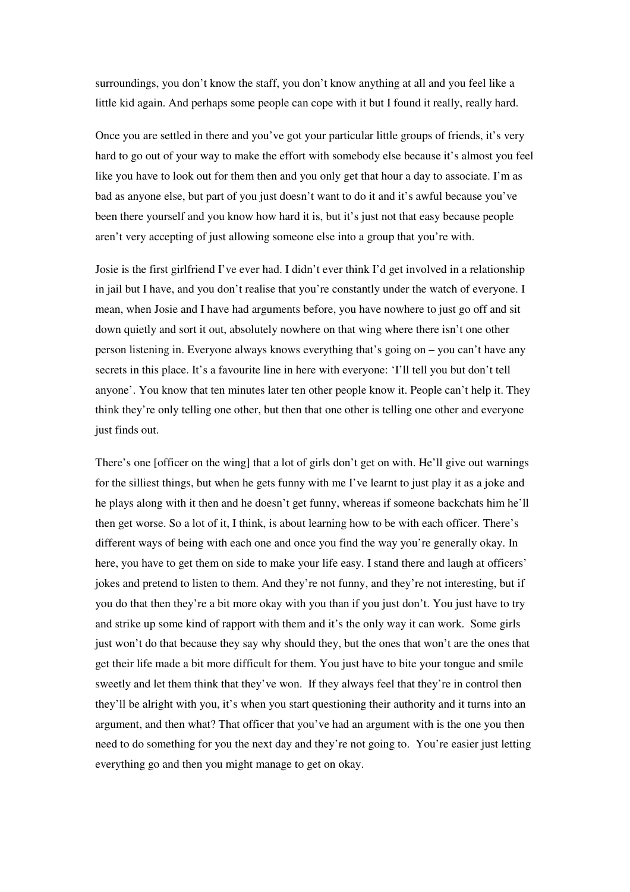surroundings, you don't know the staff, you don't know anything at all and you feel like a little kid again. And perhaps some people can cope with it but I found it really, really hard.

Once you are settled in there and you've got your particular little groups of friends, it's very hard to go out of your way to make the effort with somebody else because it's almost you feel like you have to look out for them then and you only get that hour a day to associate. I'm as bad as anyone else, but part of you just doesn't want to do it and it's awful because you've been there yourself and you know how hard it is, but it's just not that easy because people aren't very accepting of just allowing someone else into a group that you're with.

Josie is the first girlfriend I've ever had. I didn't ever think I'd get involved in a relationship in jail but I have, and you don't realise that you're constantly under the watch of everyone. I mean, when Josie and I have had arguments before, you have nowhere to just go off and sit down quietly and sort it out, absolutely nowhere on that wing where there isn't one other person listening in. Everyone always knows everything that's going on – you can't have any secrets in this place. It's a favourite line in here with everyone: 'I'll tell you but don't tell anyone'. You know that ten minutes later ten other people know it. People can't help it. They think they're only telling one other, but then that one other is telling one other and everyone just finds out.

There's one [officer on the wing] that a lot of girls don't get on with. He'll give out warnings for the silliest things, but when he gets funny with me I've learnt to just play it as a joke and he plays along with it then and he doesn't get funny, whereas if someone backchats him he'll then get worse. So a lot of it, I think, is about learning how to be with each officer. There's different ways of being with each one and once you find the way you're generally okay. In here, you have to get them on side to make your life easy. I stand there and laugh at officers' jokes and pretend to listen to them. And they're not funny, and they're not interesting, but if you do that then they're a bit more okay with you than if you just don't. You just have to try and strike up some kind of rapport with them and it's the only way it can work. Some girls just won't do that because they say why should they, but the ones that won't are the ones that get their life made a bit more difficult for them. You just have to bite your tongue and smile sweetly and let them think that they've won. If they always feel that they're in control then they'll be alright with you, it's when you start questioning their authority and it turns into an argument, and then what? That officer that you've had an argument with is the one you then need to do something for you the next day and they're not going to. You're easier just letting everything go and then you might manage to get on okay.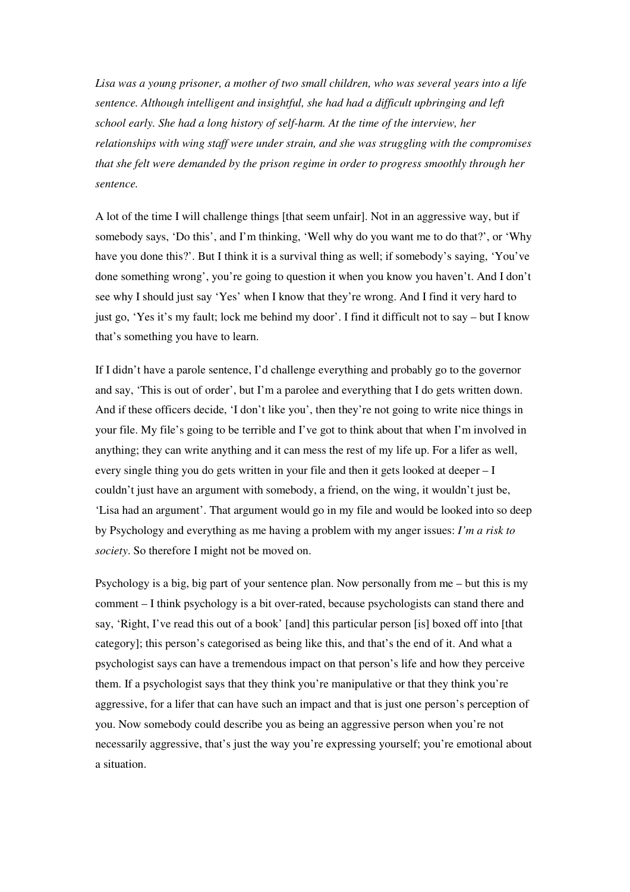*Lisa was a young prisoner, a mother of two small children, who was several years into a life sentence. Although intelligent and insightful, she had had a difficult upbringing and left school early. She had a long history of self-harm. At the time of the interview, her relationships with wing staff were under strain, and she was struggling with the compromises that she felt were demanded by the prison regime in order to progress smoothly through her sentence.* 

A lot of the time I will challenge things [that seem unfair]. Not in an aggressive way, but if somebody says, 'Do this', and I'm thinking, 'Well why do you want me to do that?', or 'Why have you done this?'. But I think it is a survival thing as well; if somebody's saying, 'You've done something wrong', you're going to question it when you know you haven't. And I don't see why I should just say 'Yes' when I know that they're wrong. And I find it very hard to just go, 'Yes it's my fault; lock me behind my door'. I find it difficult not to say – but I know that's something you have to learn.

If I didn't have a parole sentence, I'd challenge everything and probably go to the governor and say, 'This is out of order', but I'm a parolee and everything that I do gets written down. And if these officers decide, 'I don't like you', then they're not going to write nice things in your file. My file's going to be terrible and I've got to think about that when I'm involved in anything; they can write anything and it can mess the rest of my life up. For a lifer as well, every single thing you do gets written in your file and then it gets looked at deeper – I couldn't just have an argument with somebody, a friend, on the wing, it wouldn't just be, 'Lisa had an argument'. That argument would go in my file and would be looked into so deep by Psychology and everything as me having a problem with my anger issues: *I'm a risk to society*. So therefore I might not be moved on.

Psychology is a big, big part of your sentence plan. Now personally from me – but this is my comment – I think psychology is a bit over-rated, because psychologists can stand there and say, 'Right, I've read this out of a book' [and] this particular person [is] boxed off into [that category]; this person's categorised as being like this, and that's the end of it. And what a psychologist says can have a tremendous impact on that person's life and how they perceive them. If a psychologist says that they think you're manipulative or that they think you're aggressive, for a lifer that can have such an impact and that is just one person's perception of you. Now somebody could describe you as being an aggressive person when you're not necessarily aggressive, that's just the way you're expressing yourself; you're emotional about a situation.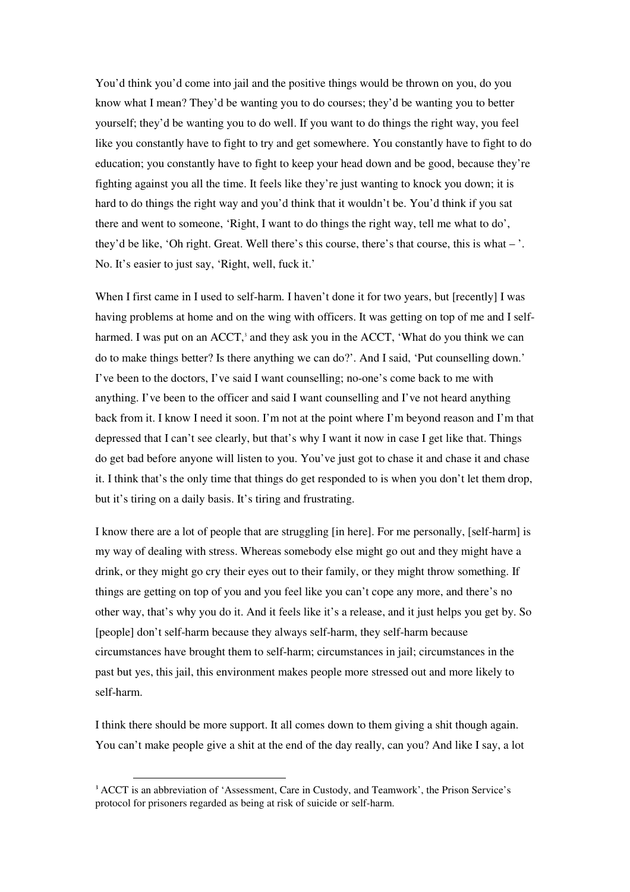You'd think you'd come into jail and the positive things would be thrown on you, do you know what I mean? They'd be wanting you to do courses; they'd be wanting you to better yourself; they'd be wanting you to do well. If you want to do things the right way, you feel like you constantly have to fight to try and get somewhere. You constantly have to fight to do education; you constantly have to fight to keep your head down and be good, because they're fighting against you all the time. It feels like they're just wanting to knock you down; it is hard to do things the right way and you'd think that it wouldn't be. You'd think if you sat there and went to someone, 'Right, I want to do things the right way, tell me what to do', they'd be like, 'Oh right. Great. Well there's this course, there's that course, this is what – '. No. It's easier to just say, 'Right, well, fuck it.'

When I first came in I used to self-harm. I haven't done it for two years, but [recently] I was having problems at home and on the wing with officers. It was getting on top of me and I selfharmed. I was put on an ACCT,<sup>3</sup> and they ask you in the ACCT, 'What do you think we can do to make things better? Is there anything we can do?'. And I said, 'Put counselling down.' I've been to the doctors, I've said I want counselling; no-one's come back to me with anything. I've been to the officer and said I want counselling and I've not heard anything back from it. I know I need it soon. I'm not at the point where I'm beyond reason and I'm that depressed that I can't see clearly, but that's why I want it now in case I get like that. Things do get bad before anyone will listen to you. You've just got to chase it and chase it and chase it. I think that's the only time that things do get responded to is when you don't let them drop, but it's tiring on a daily basis. It's tiring and frustrating.

I know there are a lot of people that are struggling [in here]. For me personally, [self-harm] is my way of dealing with stress. Whereas somebody else might go out and they might have a drink, or they might go cry their eyes out to their family, or they might throw something. If things are getting on top of you and you feel like you can't cope any more, and there's no other way, that's why you do it. And it feels like it's a release, and it just helps you get by. So [people] don't self-harm because they always self-harm, they self-harm because circumstances have brought them to self-harm; circumstances in jail; circumstances in the past but yes, this jail, this environment makes people more stressed out and more likely to self-harm.

I think there should be more support. It all comes down to them giving a shit though again. You can't make people give a shit at the end of the day really, can you? And like I say, a lot

 $\overline{a}$ 

<sup>&</sup>lt;sup>3</sup> ACCT is an abbreviation of 'Assessment, Care in Custody, and Teamwork', the Prison Service's protocol for prisoners regarded as being at risk of suicide or self-harm.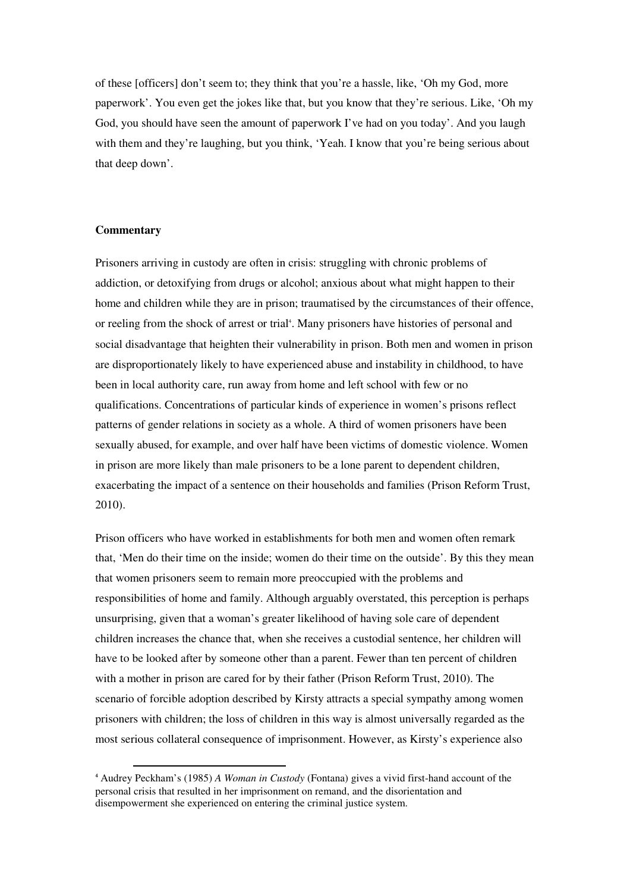of these [officers] don't seem to; they think that you're a hassle, like, 'Oh my God, more paperwork'. You even get the jokes like that, but you know that they're serious. Like, 'Oh my God, you should have seen the amount of paperwork I've had on you today'. And you laugh with them and they're laughing, but you think, 'Yeah. I know that you're being serious about that deep down'.

## **Commentary**

l

Prisoners arriving in custody are often in crisis: struggling with chronic problems of addiction, or detoxifying from drugs or alcohol; anxious about what might happen to their home and children while they are in prison; traumatised by the circumstances of their offence, or reeling from the shock of arrest or trial<sup>4</sup>. Many prisoners have histories of personal and social disadvantage that heighten their vulnerability in prison. Both men and women in prison are disproportionately likely to have experienced abuse and instability in childhood, to have been in local authority care, run away from home and left school with few or no qualifications. Concentrations of particular kinds of experience in women's prisons reflect patterns of gender relations in society as a whole. A third of women prisoners have been sexually abused, for example, and over half have been victims of domestic violence. Women in prison are more likely than male prisoners to be a lone parent to dependent children, exacerbating the impact of a sentence on their households and families (Prison Reform Trust, 2010).

Prison officers who have worked in establishments for both men and women often remark that, 'Men do their time on the inside; women do their time on the outside'. By this they mean that women prisoners seem to remain more preoccupied with the problems and responsibilities of home and family. Although arguably overstated, this perception is perhaps unsurprising, given that a woman's greater likelihood of having sole care of dependent children increases the chance that, when she receives a custodial sentence, her children will have to be looked after by someone other than a parent. Fewer than ten percent of children with a mother in prison are cared for by their father (Prison Reform Trust, 2010). The scenario of forcible adoption described by Kirsty attracts a special sympathy among women prisoners with children; the loss of children in this way is almost universally regarded as the most serious collateral consequence of imprisonment. However, as Kirsty's experience also

<sup>4</sup> Audrey Peckham's (1985) *A Woman in Custody* (Fontana) gives a vivid first-hand account of the personal crisis that resulted in her imprisonment on remand, and the disorientation and disempowerment she experienced on entering the criminal justice system.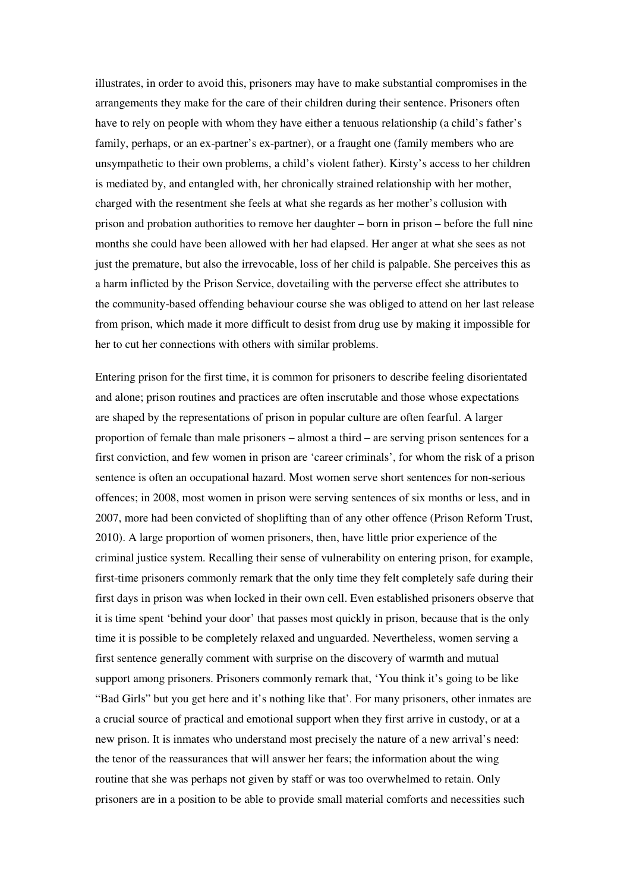illustrates, in order to avoid this, prisoners may have to make substantial compromises in the arrangements they make for the care of their children during their sentence. Prisoners often have to rely on people with whom they have either a tenuous relationship (a child's father's family, perhaps, or an ex-partner's ex-partner), or a fraught one (family members who are unsympathetic to their own problems, a child's violent father). Kirsty's access to her children is mediated by, and entangled with, her chronically strained relationship with her mother, charged with the resentment she feels at what she regards as her mother's collusion with prison and probation authorities to remove her daughter – born in prison – before the full nine months she could have been allowed with her had elapsed. Her anger at what she sees as not just the premature, but also the irrevocable, loss of her child is palpable. She perceives this as a harm inflicted by the Prison Service, dovetailing with the perverse effect she attributes to the community-based offending behaviour course she was obliged to attend on her last release from prison, which made it more difficult to desist from drug use by making it impossible for her to cut her connections with others with similar problems.

Entering prison for the first time, it is common for prisoners to describe feeling disorientated and alone; prison routines and practices are often inscrutable and those whose expectations are shaped by the representations of prison in popular culture are often fearful. A larger proportion of female than male prisoners – almost a third – are serving prison sentences for a first conviction, and few women in prison are 'career criminals', for whom the risk of a prison sentence is often an occupational hazard. Most women serve short sentences for non-serious offences; in 2008, most women in prison were serving sentences of six months or less, and in 2007, more had been convicted of shoplifting than of any other offence (Prison Reform Trust, 2010). A large proportion of women prisoners, then, have little prior experience of the criminal justice system. Recalling their sense of vulnerability on entering prison, for example, first-time prisoners commonly remark that the only time they felt completely safe during their first days in prison was when locked in their own cell. Even established prisoners observe that it is time spent 'behind your door' that passes most quickly in prison, because that is the only time it is possible to be completely relaxed and unguarded. Nevertheless, women serving a first sentence generally comment with surprise on the discovery of warmth and mutual support among prisoners. Prisoners commonly remark that, 'You think it's going to be like "Bad Girls" but you get here and it's nothing like that'*.* For many prisoners, other inmates are a crucial source of practical and emotional support when they first arrive in custody, or at a new prison. It is inmates who understand most precisely the nature of a new arrival's need: the tenor of the reassurances that will answer her fears; the information about the wing routine that she was perhaps not given by staff or was too overwhelmed to retain. Only prisoners are in a position to be able to provide small material comforts and necessities such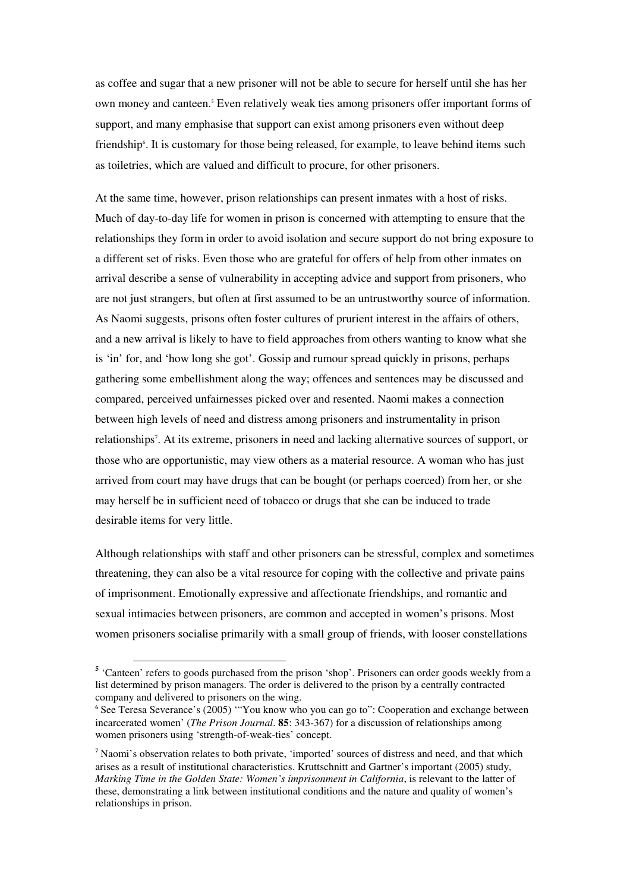as coffee and sugar that a new prisoner will not be able to secure for herself until she has her own money and canteen.<sup>5</sup> Even relatively weak ties among prisoners offer important forms of support, and many emphasise that support can exist among prisoners even without deep friendship<sup>6</sup>. It is customary for those being released, for example, to leave behind items such as toiletries, which are valued and difficult to procure, for other prisoners.

At the same time, however, prison relationships can present inmates with a host of risks. Much of day-to-day life for women in prison is concerned with attempting to ensure that the relationships they form in order to avoid isolation and secure support do not bring exposure to a different set of risks. Even those who are grateful for offers of help from other inmates on arrival describe a sense of vulnerability in accepting advice and support from prisoners, who are not just strangers, but often at first assumed to be an untrustworthy source of information. As Naomi suggests, prisons often foster cultures of prurient interest in the affairs of others, and a new arrival is likely to have to field approaches from others wanting to know what she is 'in' for, and 'how long she got'. Gossip and rumour spread quickly in prisons, perhaps gathering some embellishment along the way; offences and sentences may be discussed and compared, perceived unfairnesses picked over and resented. Naomi makes a connection between high levels of need and distress among prisoners and instrumentality in prison relationships<sup>7</sup>. At its extreme, prisoners in need and lacking alternative sources of support, or those who are opportunistic, may view others as a material resource. A woman who has just arrived from court may have drugs that can be bought (or perhaps coerced) from her, or she may herself be in sufficient need of tobacco or drugs that she can be induced to trade desirable items for very little.

Although relationships with staff and other prisoners can be stressful, complex and sometimes threatening, they can also be a vital resource for coping with the collective and private pains of imprisonment. Emotionally expressive and affectionate friendships, and romantic and sexual intimacies between prisoners, are common and accepted in women's prisons. Most women prisoners socialise primarily with a small group of friends, with looser constellations

 $\overline{a}$ 

<sup>&</sup>lt;sup>5</sup> 'Canteen' refers to goods purchased from the prison 'shop'. Prisoners can order goods weekly from a list determined by prison managers. The order is delivered to the prison by a centrally contracted company and delivered to prisoners on the wing.

<sup>6</sup> See Teresa Severance's (2005) '"You know who you can go to": Cooperation and exchange between incarcerated women' (*The Prison Journal*. **85**: 343-367) for a discussion of relationships among women prisoners using 'strength-of-weak-ties' concept.

<sup>7</sup> Naomi's observation relates to both private, 'imported' sources of distress and need, and that which arises as a result of institutional characteristics. Kruttschnitt and Gartner's important (2005) study, *Marking Time in the Golden State: Women's imprisonment in California*, is relevant to the latter of these, demonstrating a link between institutional conditions and the nature and quality of women's relationships in prison.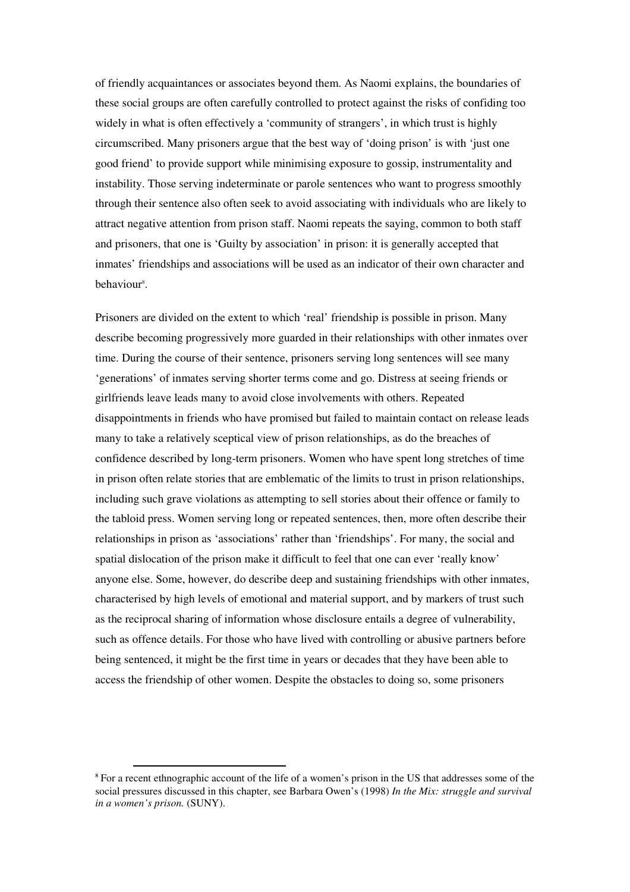of friendly acquaintances or associates beyond them. As Naomi explains, the boundaries of these social groups are often carefully controlled to protect against the risks of confiding too widely in what is often effectively a 'community of strangers', in which trust is highly circumscribed. Many prisoners argue that the best way of 'doing prison' is with 'just one good friend' to provide support while minimising exposure to gossip, instrumentality and instability. Those serving indeterminate or parole sentences who want to progress smoothly through their sentence also often seek to avoid associating with individuals who are likely to attract negative attention from prison staff. Naomi repeats the saying, common to both staff and prisoners, that one is 'Guilty by association' in prison: it is generally accepted that inmates' friendships and associations will be used as an indicator of their own character and behaviour<sup>8</sup>.

Prisoners are divided on the extent to which 'real' friendship is possible in prison. Many describe becoming progressively more guarded in their relationships with other inmates over time. During the course of their sentence, prisoners serving long sentences will see many 'generations' of inmates serving shorter terms come and go. Distress at seeing friends or girlfriends leave leads many to avoid close involvements with others. Repeated disappointments in friends who have promised but failed to maintain contact on release leads many to take a relatively sceptical view of prison relationships, as do the breaches of confidence described by long-term prisoners. Women who have spent long stretches of time in prison often relate stories that are emblematic of the limits to trust in prison relationships, including such grave violations as attempting to sell stories about their offence or family to the tabloid press. Women serving long or repeated sentences, then, more often describe their relationships in prison as 'associations' rather than 'friendships'. For many, the social and spatial dislocation of the prison make it difficult to feel that one can ever 'really know' anyone else. Some, however, do describe deep and sustaining friendships with other inmates, characterised by high levels of emotional and material support, and by markers of trust such as the reciprocal sharing of information whose disclosure entails a degree of vulnerability, such as offence details. For those who have lived with controlling or abusive partners before being sentenced, it might be the first time in years or decades that they have been able to access the friendship of other women. Despite the obstacles to doing so, some prisoners

<sup>&</sup>lt;sup>8</sup> For a recent ethnographic account of the life of a women's prison in the US that addresses some of the social pressures discussed in this chapter, see Barbara Owen's (1998) *In the Mix: struggle and survival in a women's prison.* (SUNY).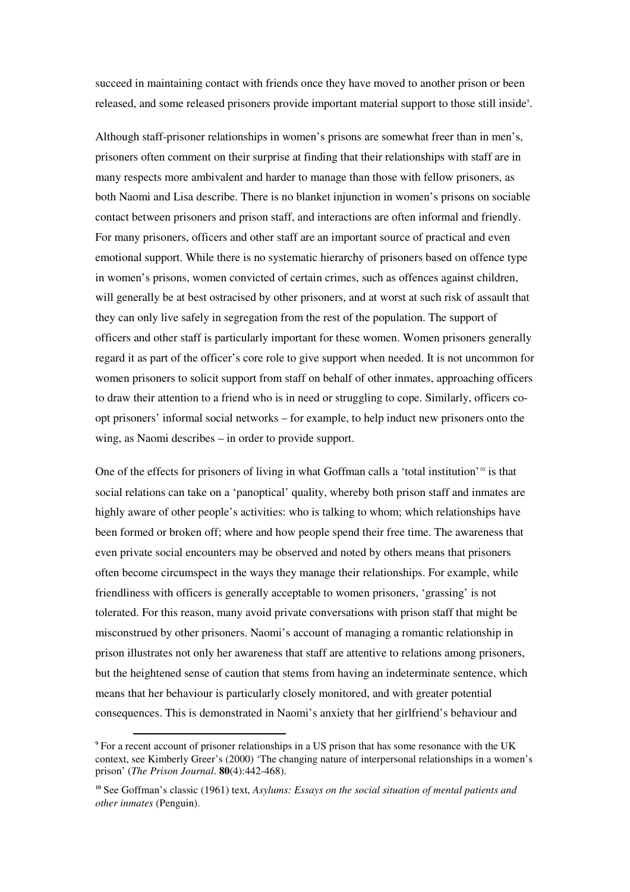succeed in maintaining contact with friends once they have moved to another prison or been released, and some released prisoners provide important material support to those still inside<sup>9</sup>.

Although staff-prisoner relationships in women's prisons are somewhat freer than in men's, prisoners often comment on their surprise at finding that their relationships with staff are in many respects more ambivalent and harder to manage than those with fellow prisoners, as both Naomi and Lisa describe. There is no blanket injunction in women's prisons on sociable contact between prisoners and prison staff, and interactions are often informal and friendly. For many prisoners, officers and other staff are an important source of practical and even emotional support. While there is no systematic hierarchy of prisoners based on offence type in women's prisons, women convicted of certain crimes, such as offences against children, will generally be at best ostracised by other prisoners, and at worst at such risk of assault that they can only live safely in segregation from the rest of the population. The support of officers and other staff is particularly important for these women. Women prisoners generally regard it as part of the officer's core role to give support when needed. It is not uncommon for women prisoners to solicit support from staff on behalf of other inmates, approaching officers to draw their attention to a friend who is in need or struggling to cope. Similarly, officers coopt prisoners' informal social networks – for example, to help induct new prisoners onto the wing, as Naomi describes – in order to provide support.

One of the effects for prisoners of living in what Goffman calls a 'total institution'<sup>10</sup> is that social relations can take on a 'panoptical' quality, whereby both prison staff and inmates are highly aware of other people's activities: who is talking to whom; which relationships have been formed or broken off; where and how people spend their free time. The awareness that even private social encounters may be observed and noted by others means that prisoners often become circumspect in the ways they manage their relationships. For example, while friendliness with officers is generally acceptable to women prisoners, 'grassing' is not tolerated. For this reason, many avoid private conversations with prison staff that might be misconstrued by other prisoners. Naomi's account of managing a romantic relationship in prison illustrates not only her awareness that staff are attentive to relations among prisoners, but the heightened sense of caution that stems from having an indeterminate sentence, which means that her behaviour is particularly closely monitored, and with greater potential consequences. This is demonstrated in Naomi's anxiety that her girlfriend's behaviour and

 $\overline{a}$ 

<sup>9</sup> For a recent account of prisoner relationships in a US prison that has some resonance with the UK context, see Kimberly Greer's (2000) 'The changing nature of interpersonal relationships in a women's prison' (*The Prison Journal*. **80**(4):442-468).

<sup>10</sup> See Goffman's classic (1961) text, *Asylums: Essays on the social situation of mental patients and other inmates* (Penguin).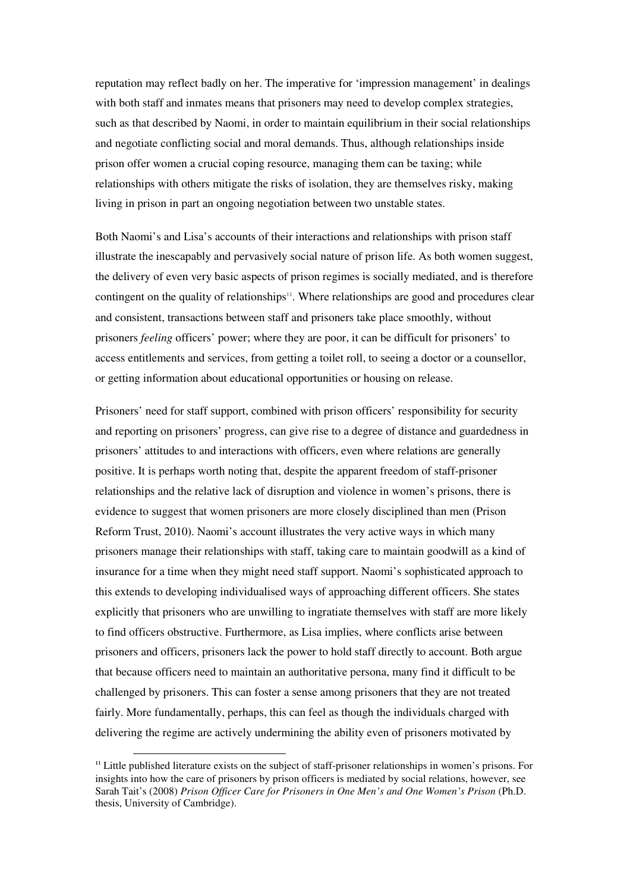reputation may reflect badly on her. The imperative for 'impression management' in dealings with both staff and inmates means that prisoners may need to develop complex strategies, such as that described by Naomi, in order to maintain equilibrium in their social relationships and negotiate conflicting social and moral demands. Thus, although relationships inside prison offer women a crucial coping resource, managing them can be taxing; while relationships with others mitigate the risks of isolation, they are themselves risky, making living in prison in part an ongoing negotiation between two unstable states.

Both Naomi's and Lisa's accounts of their interactions and relationships with prison staff illustrate the inescapably and pervasively social nature of prison life. As both women suggest, the delivery of even very basic aspects of prison regimes is socially mediated, and is therefore contingent on the quality of relationships<sup>11</sup>. Where relationships are good and procedures clear and consistent, transactions between staff and prisoners take place smoothly, without prisoners *feeling* officers' power; where they are poor, it can be difficult for prisoners' to access entitlements and services, from getting a toilet roll, to seeing a doctor or a counsellor, or getting information about educational opportunities or housing on release.

Prisoners' need for staff support, combined with prison officers' responsibility for security and reporting on prisoners' progress, can give rise to a degree of distance and guardedness in prisoners' attitudes to and interactions with officers, even where relations are generally positive. It is perhaps worth noting that, despite the apparent freedom of staff-prisoner relationships and the relative lack of disruption and violence in women's prisons, there is evidence to suggest that women prisoners are more closely disciplined than men (Prison Reform Trust, 2010). Naomi's account illustrates the very active ways in which many prisoners manage their relationships with staff, taking care to maintain goodwill as a kind of insurance for a time when they might need staff support. Naomi's sophisticated approach to this extends to developing individualised ways of approaching different officers. She states explicitly that prisoners who are unwilling to ingratiate themselves with staff are more likely to find officers obstructive. Furthermore, as Lisa implies, where conflicts arise between prisoners and officers, prisoners lack the power to hold staff directly to account. Both argue that because officers need to maintain an authoritative persona, many find it difficult to be challenged by prisoners. This can foster a sense among prisoners that they are not treated fairly. More fundamentally, perhaps, this can feel as though the individuals charged with delivering the regime are actively undermining the ability even of prisoners motivated by

<sup>11</sup> Little published literature exists on the subject of staff-prisoner relationships in women's prisons. For insights into how the care of prisoners by prison officers is mediated by social relations, however, see Sarah Tait's (2008) *Prison Officer Care for Prisoners in One Men's and One Women's Prison* (Ph.D. thesis, University of Cambridge).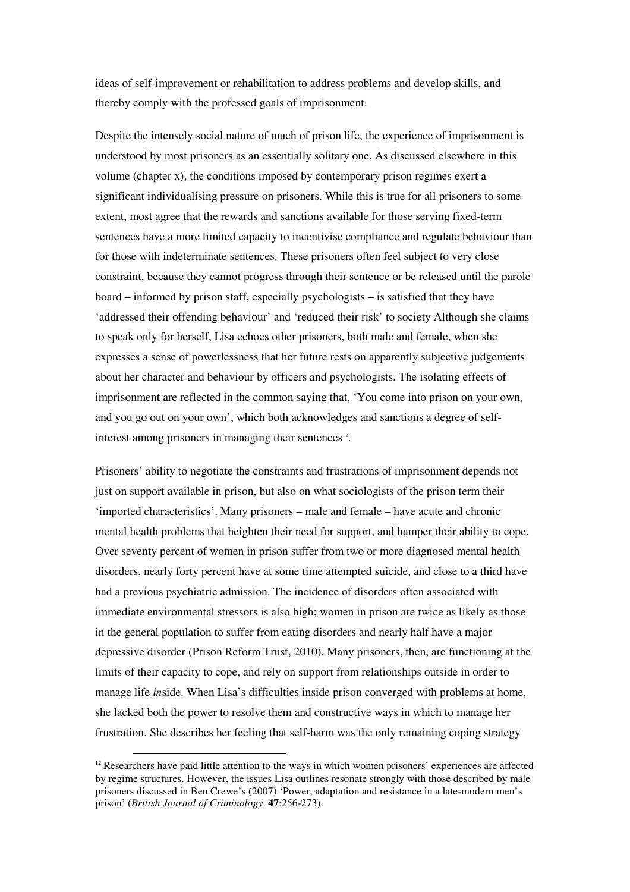ideas of self-improvement or rehabilitation to address problems and develop skills, and thereby comply with the professed goals of imprisonment.

Despite the intensely social nature of much of prison life, the experience of imprisonment is understood by most prisoners as an essentially solitary one. As discussed elsewhere in this volume (chapter x), the conditions imposed by contemporary prison regimes exert a significant individualising pressure on prisoners. While this is true for all prisoners to some extent, most agree that the rewards and sanctions available for those serving fixed-term sentences have a more limited capacity to incentivise compliance and regulate behaviour than for those with indeterminate sentences. These prisoners often feel subject to very close constraint, because they cannot progress through their sentence or be released until the parole board – informed by prison staff, especially psychologists – is satisfied that they have 'addressed their offending behaviour' and 'reduced their risk' to society Although she claims to speak only for herself, Lisa echoes other prisoners, both male and female, when she expresses a sense of powerlessness that her future rests on apparently subjective judgements about her character and behaviour by officers and psychologists. The isolating effects of imprisonment are reflected in the common saying that, 'You come into prison on your own, and you go out on your own', which both acknowledges and sanctions a degree of selfinterest among prisoners in managing their sentences<sup>12</sup>.

Prisoners' ability to negotiate the constraints and frustrations of imprisonment depends not just on support available in prison, but also on what sociologists of the prison term their 'imported characteristics'. Many prisoners – male and female – have acute and chronic mental health problems that heighten their need for support, and hamper their ability to cope. Over seventy percent of women in prison suffer from two or more diagnosed mental health disorders, nearly forty percent have at some time attempted suicide, and close to a third have had a previous psychiatric admission. The incidence of disorders often associated with immediate environmental stressors is also high; women in prison are twice as likely as those in the general population to suffer from eating disorders and nearly half have a major depressive disorder (Prison Reform Trust, 2010). Many prisoners, then, are functioning at the limits of their capacity to cope, and rely on support from relationships outside in order to manage life *in*side. When Lisa's difficulties inside prison converged with problems at home, she lacked both the power to resolve them and constructive ways in which to manage her frustration. She describes her feeling that self-harm was the only remaining coping strategy

 $12$  Researchers have paid little attention to the ways in which women prisoners' experiences are affected by regime structures. However, the issues Lisa outlines resonate strongly with those described by male prisoners discussed in Ben Crewe's (2007) 'Power, adaptation and resistance in a late-modern men's prison' (*British Journal of Criminology*. **47**:256-273).